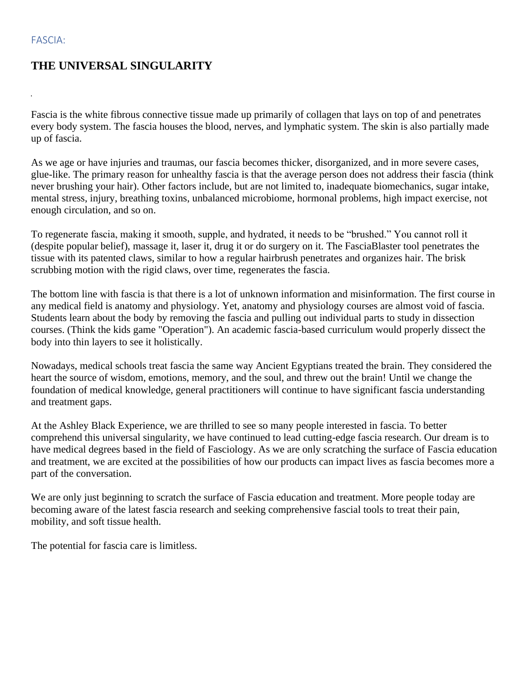## FASCIA:

## **THE UNIVERSAL SINGULARITY**

Fascia is the white fibrous connective tissue made up primarily of collagen that lays on top of and penetrates every body system. The fascia houses the blood, nerves, and lymphatic system. The skin is also partially made up of fascia.

As we age or have injuries and traumas, our fascia becomes thicker, disorganized, and in more severe cases, glue-like. The primary reason for unhealthy fascia is that the average person does not address their fascia (think never brushing your hair). Other factors include, but are not limited to, inadequate biomechanics, sugar intake, mental stress, injury, breathing toxins, unbalanced microbiome, hormonal problems, high impact exercise, not enough circulation, and so on.

To regenerate fascia, making it smooth, supple, and hydrated, it needs to be "brushed." You cannot roll it (despite popular belief), massage it, laser it, drug it or do surgery on it. The FasciaBlaster tool penetrates the tissue with its patented claws, similar to how a regular hairbrush penetrates and organizes hair. The brisk scrubbing motion with the rigid claws, over time, regenerates the fascia.

The bottom line with fascia is that there is a lot of unknown information and misinformation. The first course in any medical field is anatomy and physiology. Yet, anatomy and physiology courses are almost void of fascia. Students learn about the body by removing the fascia and pulling out individual parts to study in dissection courses. (Think the kids game "Operation"). An academic fascia-based curriculum would properly dissect the body into thin layers to see it holistically.

Nowadays, medical schools treat fascia the same way Ancient Egyptians treated the brain. They considered the heart the source of wisdom, emotions, memory, and the soul, and threw out the brain! Until we change the foundation of medical knowledge, general practitioners will continue to have significant fascia understanding and treatment gaps.

At the Ashley Black Experience, we are thrilled to see so many people interested in fascia. To better comprehend this universal singularity, we have continued to lead cutting-edge fascia research. Our dream is to have medical degrees based in the field of Fasciology. As we are only scratching the surface of Fascia education and treatment, we are excited at the possibilities of how our products can impact lives as fascia becomes more a part of the conversation.

We are only just beginning to scratch the surface of Fascia education and treatment. More people today are becoming aware of the latest fascia research and seeking comprehensive fascial tools to treat their pain, mobility, and soft tissue health.

The potential for fascia care is limitless.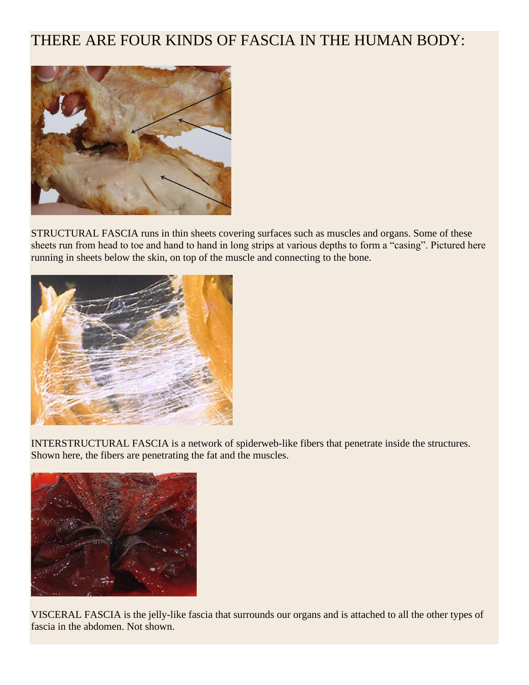## THERE ARE FOUR KINDS OF FASCIA IN THE HUMAN BODY:



STRUCTURAL FASCIA runs in thin sheets covering surfaces such as muscles and organs. Some of these sheets run from head to toe and hand to hand in long strips at various depths to form a "casing". Pictured here running in sheets below the skin, on top of the muscle and connecting to the bone.



INTERSTRUCTURAL FASCIA is a network of spiderweb-like fibers that penetrate inside the structures. Shown here, the fibers are penetrating the fat and the muscles.



VISCERAL FASCIA is the jelly-like fascia that surrounds our organs and is attached to all the other types of fascia in the abdomen. Not shown.